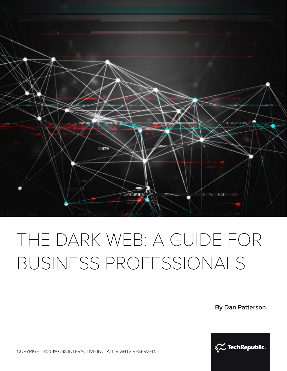

# THE DARK WEB: A GUIDE FOR BUSINESS PROFESSIONALS

**By Dan Patterson**



COPYRIGHT ©2019 CBS INTERACTIVE INC. ALL RIGHTS RESERVED.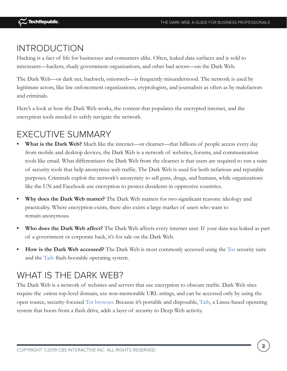## INTRODUCTION

Hacking is a fact of life for businesses and consumers alike. Often, leaked data surfaces and is sold to miscreants—hackers, shady government organizations, and other bad actors—on the Dark Web.

The Dark Web—or dark net, backweb, onionweb—is frequently misunderstood. The network is used by legitimate actors, like law enforcement organizations, cryptologists, and journalists as often as by malefactors and criminals.

Here's a look at how the Dark Web works, the content that populates the encrypted internet, and the encryption tools needed to safely navigate the network.

## EXECUTIVE SUMMARY

- **• What is the Dark Web?** Much like the internet—or clearnet—that billions of people access every day from mobile and desktop devices, the Dark Web is a network of websites, forums, and communication tools like email. What differentiates the Dark Web from the clearnet is that users are required to run a suite of security tools that help anonymize web traffic. The Dark Web is used for both nefarious and reputable purposes. Criminals exploit the network's anonymity to sell guns, drugs, and humans, while organizations like the UN and Facebook use encryption to protect dissidents in oppressive countries.
- **• Why does the Dark Web matter?** The Dark Web matters for two significant reasons: ideology and practicality. Where encryption exists, there also exists a large market of users who want to remain anonymous.
- **• Who does the Dark Web affect?** The Dark Web affects every internet user. If your data was leaked as part of a government or corporate hack, it's for sale on the Dark Web.
- **• How is the Dark Web accessed?** The Dark Web is most commonly accessed using the [Tor](https://www.techrepublic.com/article/tor-the-smart-persons-guide/) security suite and the [Tails](https://www.techrepublic.com/article/getting-started-with-tails-the-encrypted-leave-no-trace-operating-system/) flash-bootable operating system.

## WHAT IS THE DARK WEB?

The Dark Web is a network of websites and servers that use encryption to obscure traffic. Dark Web sites require the .onion top-level domain, use non-memorable URL strings, and can be accessed only by using the open source, security-focused [Tor browser](https://www.techrepublic.com/article/tor-the-smart-persons-guide/). Because it's portable and disposable, [Tails](https://www.techrepublic.com/article/getting-started-with-tails-the-encrypted-leave-no-trace-operating-system/), a Linux-based operating system that boots from a flash drive, adds a layer of security to Deep Web activity.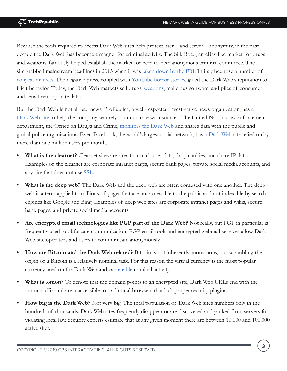Because the tools required to access Dark Web sites help protect user—and server—anonymity, in the past decade the Dark Web has become a magnet for criminal activity. The Silk Road, an eBay-like market for drugs and weapons, famously helped establish the market for peer-to-peer anonymous criminal commerce. The site grabbed mainstream headlines in 2013 when it was [taken down by the FBI](https://en.wikipedia.org/wiki/Silk_Road_(marketplace)#Arrest_and_trial_of_Ross_Ulbricht). In its place rose a number of [copycat markets](http://www.zdnet.com/article/silk-road-dark-web-marketplace-just-does-not-want-to-die/). The negative press, coupled with [YouTube horror stories,](https://www.youtube.com/results?search_query=Dark+Web) glued the Dark Web's reputation to illicit behavior. Today, the Dark Web markets sell drugs, [weapons,](https://www.cnet.com/news/most-weapons-on-the-dark-web-come-from-us-study-finds/) malicious software, and piles of consumer and sensitive corporate data.

But the Dark Web is not all bad news. ProPublica, a well-respected investigative news organization, has [a](https://www.propublica.org/podcast/item/why-propublica-joined-the-dark-web)  [Dark Web site](https://www.propublica.org/podcast/item/why-propublica-joined-the-dark-web) to help the company securely communicate with sources. The United Nations law enforcement department, the Office on Drugs and Crime, [monitors the Dark Web](http://www.unodc.org/wdr2016/) and shares data with the public and global police organizations. Even Facebook, the world's largest social network, has [a Dark Web site](https://www.facebook.com/notes/facebook-over-tor/1-million-people-use-facebook-over-tor/865624066877648) relied on by more than one million users per month.

- **What is the clearnet?** Clearnet sites are sites that track user data, drop cookies, and share IP data. Examples of the clearnet are corporate intranet pages, secure bank pages, private social media accounts, and any site that does not use [SSL](https://www.techrepublic.com/blog/data-center/ssl-tls-certificates-what-you-need-to-know/).
- **What is the deep web?** The Dark Web and the deep web are often confused with one another. The deep web is a term applied to millions of pages that are not accessible to the public and not indexable by search engines like Google and Bing. Examples of deep web sites are corporate intranet pages and wikis, secure bank pages, and private social media accounts.
- **• Are encrypted email technologies like PGP part of the Dark Web?** Not really, but PGP in particular is frequently used to obfuscate communication. PGP email tools and encrypted webmail services allow Dark Web site operators and users to communicate anonymously.
- **• How are Bitcoin and the Dark Web related?** Bitcoin is not inherently anonymous, but scrambling the origin of a Bitcoin is a relatively nominal task. For this reason the virtual currency is the most popular currency used on the Dark Web and can [enable](http://www.zdnet.com/article/arrests-made-over-bitcoin-laundering-scheme-dark-web-drug-deals/) criminal activity.
- **• What is .onion?** To denote that the domain points to an encrypted site, Dark Web URLs end with the .onion suffix and are inaccessible to traditional browsers that lack proper security plugins.
- **• How big is the Dark Web?** Not very big. The total population of Dark Web sites numbers only in the hundreds of thousands. Dark Web sites frequently disappear or are discovered and yanked from servers for violating local law. Security experts estimate that at any given moment there are between 10,000 and 100,000 active sites.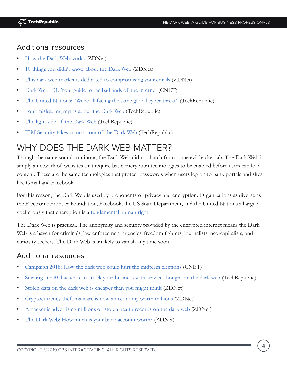### Additional resources

- [How the Dark Web works](http://www.zdnet.com/article/how-the-dark-web-works/) (ZDNet)
- [10 things you didn't know about the Dark Web](http://www.zdnet.com/pictures/10-things-you-didnt-know-about-the-dark-web/) (ZDNet)
- [This dark web market is dedicated to compromising your emails](https://www.zdnet.com/article/this-dark-web-market-is-dedicated-to-compromising-your-emails/) (ZDNet)
- [Dark Web 101: Your guide to the badlands of the internet](https://www.cnet.com/news/darknet-dark-web-101-your-guide-to-the-badlands-of-the-internet-tor-bitcoin/) (CNET)
- [The United Nations: "We're all facing the same global cyber-threat"](https://www.techrepublic.com/article/the-united-nations-were-all-facing-the-same-global-cyber-threat/) (TechRepublic)
- [Four misleading myths about the Dark Web](https://www.techrepublic.com/article/four-misleading-myths-about-the-dark-web/) (TechRepublic)
- [The light side of the Dark Web](https://www.techrepublic.com/article/the-light-side-of-the-dark-web/) (TechRepublic)
- [IBM Security takes us on a tour of the Dark Web](https://www.techrepublic.com/article/ibm-security-takes-us-on-a-tour-of-the-dark-web/) (TechRepublic)

## WHY DOES THE DARK WEB MATTER?

Though the name sounds ominous, the Dark Web did not hatch from some evil hacker lab. The Dark Web is simply a network of websites that require basic encryption technologies to be enabled before users can load content. These are the same technologies that protect passwords when users log on to bank portals and sites like Gmail and Facebook.

For this reason, the Dark Web is used by proponents of privacy and encryption. Organizations as diverse as the Electronic Frontier Foundation, Facebook, the US State Department, and the United Nations all argue vociferously that encryption is a [fundamental human right.](https://www.techrepublic.com/article/why-citizens-need-encryption-as-a-fundamental-human-right/)

The Dark Web is practical. The anonymity and security provided by the encrypted internet means the Dark Web is a haven for criminals, law enforcement agencies, freedom fighters, journalists, neo-capitalists, and curiosity seekers. The Dark Web is unlikely to vanish any time soon.

#### Additional resources

- [Campaign 2018: How the dark web could hurt the midterm elections](https://www.cnet.com/news/campaign-2018-how-the-dark-web-could-hurt-the-midterm-elections/) (CNET)
- [Starting at \\$40, hackers can attack your business with services bought on the dark web](https://www.techrepublic.com/article/starting-at-40-hackers-can-attack-your-business-with-services-bought-on-the-dark-web/) (TechRepublic)
- [Stolen data on the dark web is cheaper than you might think](http://www.zdnet.com/article/prices-of-stolen-data-on-the-dark-web-are-lower-than-you-think/) (ZDNet)
- [Cryptocurrency theft malware is now an economy worth millions](https://www.zdnet.com/article/cryptocurrency-theft-malware-is-now-an-economy-worth-millions/) (ZDNet)
- [A hacker is advertising millions of stolen health records on the dark web](http://www.zdnet.com/article/hacker-advertising-huge-health-insurance-database/) (ZDNet)
- [The Dark Web: How much is your bank account worth?](https://www.zdnet.com/article/the-dark-web-how-much-is-your-bank-account-worth/) (ZDNet)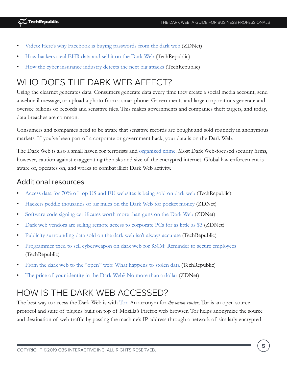- [Video: Here's why Facebook is buying passwords from the dark web](http://www.zdnet.com/video/heres-why-facebook-is-buying-passwords-from-the-dark-web) (ZDNet)
- [How hackers steal EHR data and sell it on the Dark Web](https://www.techrepublic.com/article/how-hackers-steal-ehr-data-and-sell-it-on-the-dark-web/) (TechRepublic)
- [How the cyber insurance industry detects the next big attacks](https://www.techrepublic.com/article/how-the-cyber-insurance-industry-detects-the-next-big-attacks/) (TechRepublic)

# WHO DOES THE DARK WEB AFFECT?

Using the clearnet generates data. Consumers generate data every time they create a social media account, send a webmail message, or upload a photo from a smartphone. Governments and large corporations generate and oversee billions of records and sensitive files. This makes governments and companies theft targets, and today, data breaches are common.

Consumers and companies need to be aware that sensitive records are bought and sold routinely in anonymous markets. If you've been part of a corporate or government hack, your data is on the Dark Web.

The Dark Web is also a small haven for terrorists and [organized crime](http://www.zdnet.com/article/beyond-silk-road-2-0-over-400-dark-web-tor-sites-seized-by-fbi/). Most Dark Web-focused security firms, however, caution against exaggerating the risks and size of the encrypted internet. Global law enforcement is aware of, operates on, and works to combat illicit Dark Web activity.

### Additional resources

- [Access data for 70% of top US and EU websites is being sold on dark web](https://www.techrepublic.com/article/access-data-for-70-of-top-us-and-eu-websites-is-being-sold-on-dark-web/) (TechRepublic)
- [Hackers peddle thousands of air miles on the Dark Web for pocket money](https://www.zdnet.com/article/hackers-peddle-thousands-of-air-miles-on-the-dark-web-for-pocket-money/) (ZDNet)
- [Software code signing certificates worth more than guns on the Dark Web](http://www.zdnet.com/article/illicit-certificates-worth-more-than-guns-on-the-dark-web/) (ZDNet)
- [Dark web vendors are selling remote access to corporate PCs for as little as \\$3](http://www.zdnet.com/article/dark-web-vendors-are-selling-remote-access-to-corporate-pcs-for-as-little-as-3/) (ZDNet)
- [Publicity surrounding data sold on the dark web isn't always accurate](https://www.techrepublic.com/article/the-dark-web-is-not-actually-selling-your-data-report-says/) (TechRepublic)
- [Programmer tried to sell cyberweapon on dark web for \\$50M: Reminder to secure employees](https://www.techrepublic.com/article/programmer-tried-to-sell-cyberweapon-on-dark-web-for-50m-reminder-to-secure-employees/) (TechRepublic)
- [From the dark web to the "open" web: What happens to stolen data](https://www.techrepublic.com/article/from-the-dark-web-to-the-open-web-what-happens-to-stolen-data/) (TechRepublic)
- [The price of your identity in the Dark Web? No more than a dollar](http://www.zdnet.com/article/the-price-of-your-identity-in-the-dark-web-no-more-than-a-dollar/) (ZDNet)

## HOW IS THE DARK WEB ACCESSED?

The best way to access the Dark Web is with [Tor](https://www.techrepublic.com/article/tor-the-smart-persons-guide/). An acronym for *the onion router*, Tor is an open source protocol and suite of plugins built on top of Mozilla's Firefox web browser. Tor helps anonymize the source and destination of web traffic by passing the machine's IP address through a network of similarly encrypted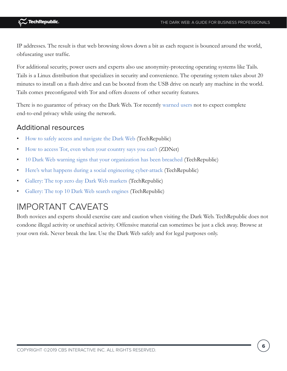IP addresses. The result is that web browsing slows down a bit as each request is bounced around the world, obfuscating user traffic.

For additional security, power users and experts also use anonymity-protecting operating systems like Tails. Tails is a Linux distribution that specializes in security and convenience. The operating system takes about 20 minutes to install on a flash drive and can be booted from the USB drive on nearly any machine in the world. Tails comes preconfigured with Tor and offers dozens of other security features.

There is no guarantee of privacy on the Dark Web. Tor recently [warned users](https://www.techrepublic.com/article/tor-users-do-not-expect-anonymity-and-end-to-end-security/) not to expect complete end-to-end privacy while using the network.

### Additional resources

- [How to safely access and navigate the Dark Web](https://www.techrepublic.com/article/how-to-safely-access-and-navigate-the-dark-web/) (TechRepublic)
- [How to access Tor, even when your country says you can't](http://www.zdnet.com/article/how-to-dance-around-censorship-and-access-tor-even-when-blocked/) (ZDNet)
- [10 Dark Web warning signs that your organization has been breached](https://www.techrepublic.com/article/10-dark-web-warning-signs-that-your-organization-has-been-breached/) (TechRepublic)
- [Here's what happens during a social engineering cyber-attack](https://www.techrepublic.com/article/heres-what-happens-during-a-social-engineering-cyber-attack/) (TechRepublic)
- [Gallery: The top zero day Dark Web markets](https://www.techrepublic.com/pictures/gallery-the-top-zero-day-dark-web-markets/) (TechRepublic)
- [Gallery: The top 10 Dark Web search engines](https://www.techrepublic.com/pictures/gallery-the-top-dark-web-search-engines/) (TechRepublic)

## IMPORTANT CAVEATS

Both novices and experts should exercise care and caution when visiting the Dark Web. TechRepublic does not condone illegal activity or unethical activity. Offensive material can sometimes be just a click away. Browse at your own risk. Never break the law. Use the Dark Web safely and for legal purposes only.